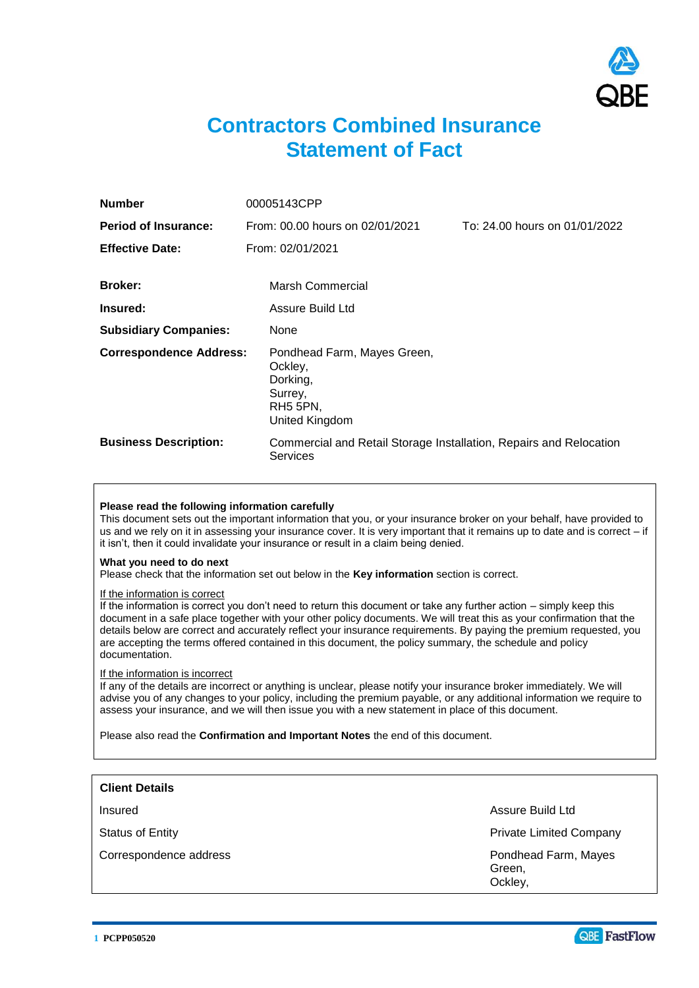

# **Contractors Combined Insurance Statement of Fact**

| <b>Number</b>                  | 00005143CPP                                                                                 |                               |
|--------------------------------|---------------------------------------------------------------------------------------------|-------------------------------|
| <b>Period of Insurance:</b>    | From: 00.00 hours on 02/01/2021                                                             | To: 24.00 hours on 01/01/2022 |
| <b>Effective Date:</b>         | From: 02/01/2021                                                                            |                               |
| <b>Broker:</b>                 | <b>Marsh Commercial</b>                                                                     |                               |
| Insured:                       | Assure Build Ltd                                                                            |                               |
| <b>Subsidiary Companies:</b>   | None                                                                                        |                               |
| <b>Correspondence Address:</b> | Pondhead Farm, Mayes Green,<br>Ockley,<br>Dorking,<br>Surrey,<br>RH5 5PN.<br>United Kingdom |                               |
| <b>Business Description:</b>   | Commercial and Retail Storage Installation, Repairs and Relocation<br>Services              |                               |

## **Please read the following information carefully**

This document sets out the important information that you, or your insurance broker on your behalf, have provided to us and we rely on it in assessing your insurance cover. It is very important that it remains up to date and is correct – if it isn't, then it could invalidate your insurance or result in a claim being denied.

#### **What you need to do next**

Please check that the information set out below in the **Key information** section is correct.

#### If the information is correct

If the information is correct you don't need to return this document or take any further action – simply keep this document in a safe place together with your other policy documents. We will treat this as your confirmation that the details below are correct and accurately reflect your insurance requirements. By paying the premium requested, you are accepting the terms offered contained in this document, the policy summary, the schedule and policy documentation.

## If the information is incorrect

If any of the details are incorrect or anything is unclear, please notify your insurance broker immediately. We will advise you of any changes to your policy, including the premium payable, or any additional information we require to assess your insurance, and we will then issue you with a new statement in place of this document.

Please also read the **Confirmation and Important Notes** the end of this document.

| <b>Client Details</b>  |                                           |
|------------------------|-------------------------------------------|
| Insured                | Assure Build Ltd                          |
| Status of Entity       | <b>Private Limited Company</b>            |
| Correspondence address | Pondhead Farm, Mayes<br>Green,<br>Ockley, |

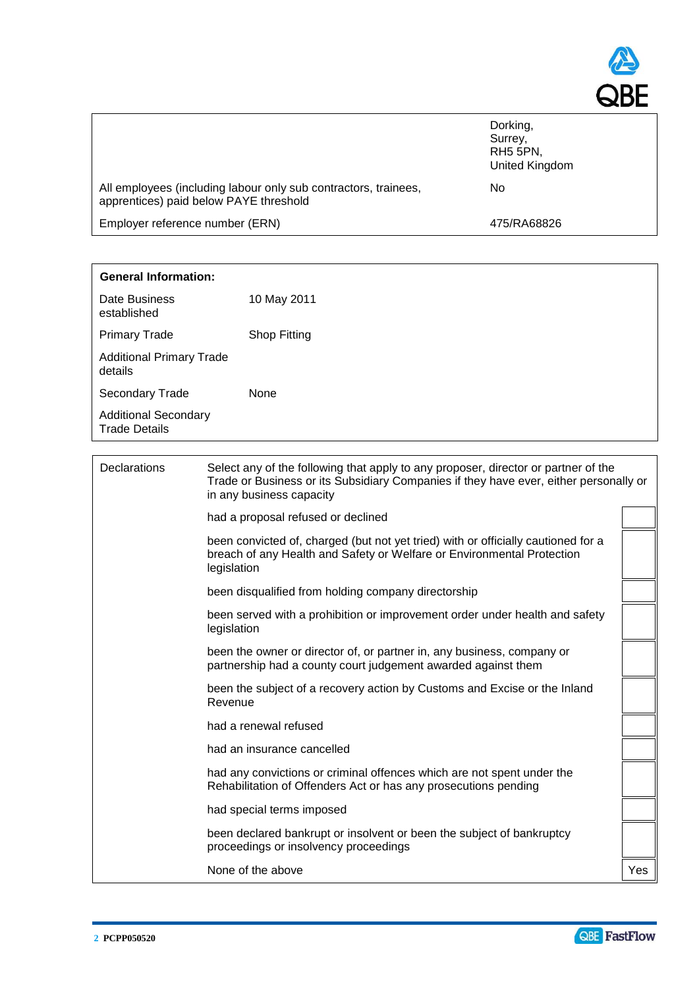

|                                                                                                           | United Kingdom |
|-----------------------------------------------------------------------------------------------------------|----------------|
| All employees (including labour only sub contractors, trainees,<br>apprentices) paid below PAYE threshold | No             |
| Employer reference number (ERN)                                                                           | 475/RA68826    |

| <b>General Information:</b>                         |                                                                                                                                                                                                         |  |
|-----------------------------------------------------|---------------------------------------------------------------------------------------------------------------------------------------------------------------------------------------------------------|--|
| Date Business<br>established                        | 10 May 2011                                                                                                                                                                                             |  |
| <b>Primary Trade</b>                                | Shop Fitting                                                                                                                                                                                            |  |
| <b>Additional Primary Trade</b><br>details          |                                                                                                                                                                                                         |  |
| Secondary Trade                                     | <b>None</b>                                                                                                                                                                                             |  |
| <b>Additional Secondary</b><br><b>Trade Details</b> |                                                                                                                                                                                                         |  |
|                                                     |                                                                                                                                                                                                         |  |
| <b>Declarations</b>                                 | Select any of the following that apply to any proposer, director or partner of the<br>Trade or Business or its Subsidiary Companies if they have ever, either personally or<br>in any business capacity |  |
|                                                     | had a proposal refused or declined                                                                                                                                                                      |  |
|                                                     | been convicted of, charged (but not yet tried) with or officially cautioned for a<br>breach of any Health and Safety or Welfare or Environmental Protection<br>legislation                              |  |
|                                                     | been disqualified from holding company directorship                                                                                                                                                     |  |
|                                                     | been served with a prohibition or improvement order under health and safety<br>legislation                                                                                                              |  |

| been the owner or director of, or partner in, any business, company or |  |
|------------------------------------------------------------------------|--|
| partnership had a county court judgement awarded against them          |  |

been the subject of a recovery action by Customs and Excise or the Inland Revenue

had a renewal refused

had an insurance cancelled

had any convictions or criminal offences which are not spent under the Rehabilitation of Offenders Act or has any prosecutions pending

had special terms imposed

been declared bankrupt or insolvent or been the subject of bankruptcy proceedings or insolvency proceedings

None of the above  $\vert$  Yes

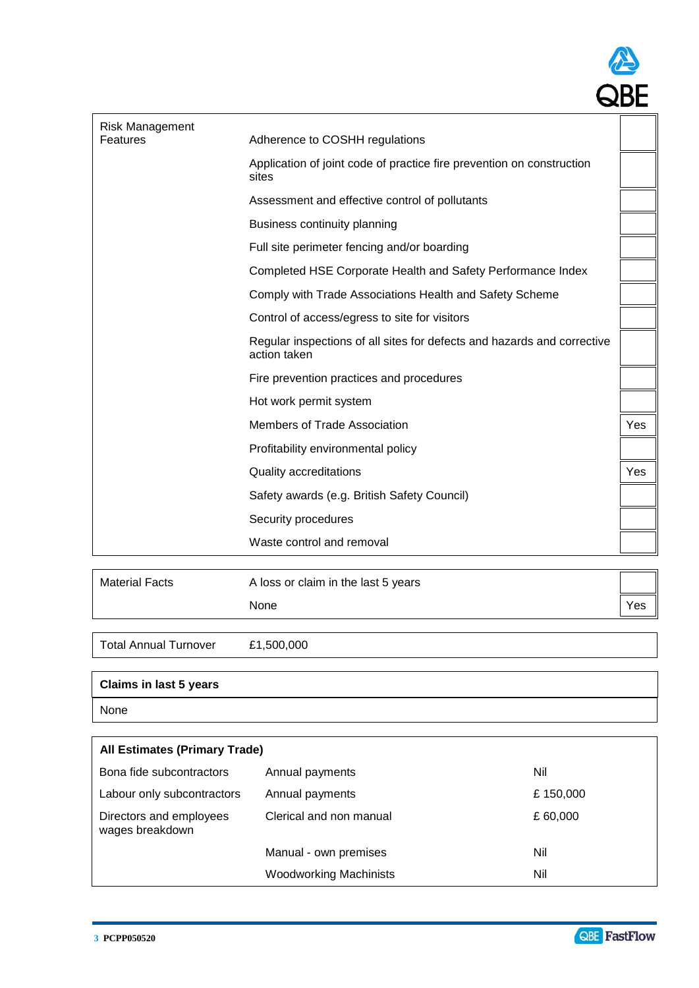

| Adherence to COSHH regulations                                                          |     |
|-----------------------------------------------------------------------------------------|-----|
| Application of joint code of practice fire prevention on construction<br>sites          |     |
| Assessment and effective control of pollutants                                          |     |
| Business continuity planning                                                            |     |
| Full site perimeter fencing and/or boarding                                             |     |
| Completed HSE Corporate Health and Safety Performance Index                             |     |
| Comply with Trade Associations Health and Safety Scheme                                 |     |
| Control of access/egress to site for visitors                                           |     |
| Regular inspections of all sites for defects and hazards and corrective<br>action taken |     |
| Fire prevention practices and procedures                                                |     |
| Hot work permit system                                                                  |     |
| Members of Trade Association                                                            | Yes |
| Profitability environmental policy                                                      |     |
| Quality accreditations                                                                  | Yes |
| Safety awards (e.g. British Safety Council)                                             |     |
| Security procedures                                                                     |     |
| Waste control and removal                                                               |     |
|                                                                                         |     |

| <b>Material Facts</b> | A loss or claim in the last 5 years |     |
|-----------------------|-------------------------------------|-----|
|                       | None                                | Yes |
|                       |                                     |     |

Total Annual Turnover £1,500,000

# **Claims in last 5 years**

None

| <b>All Estimates (Primary Trade)</b>       |                               |          |
|--------------------------------------------|-------------------------------|----------|
| Bona fide subcontractors                   | Annual payments               | Nil      |
| Labour only subcontractors                 | Annual payments               | £150,000 |
| Directors and employees<br>wages breakdown | Clerical and non manual       | £60,000  |
|                                            | Manual - own premises         | Nil      |
|                                            | <b>Woodworking Machinists</b> | Nil      |

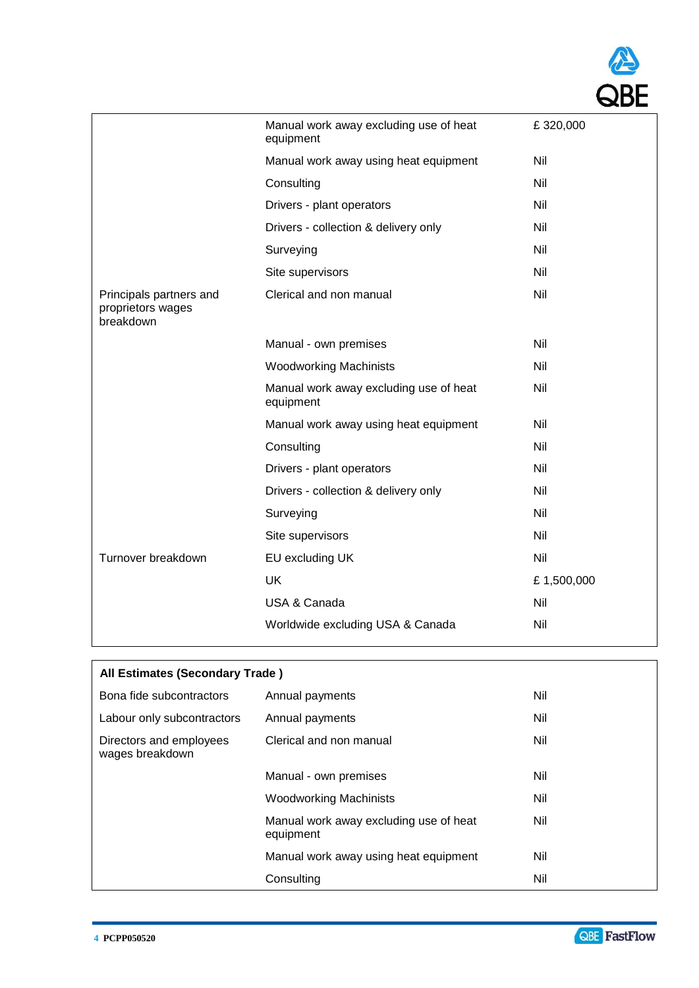|                                                           | Manual work away excluding use of heat<br>equipment | £320,000   |
|-----------------------------------------------------------|-----------------------------------------------------|------------|
|                                                           | Manual work away using heat equipment               | Nil        |
|                                                           | Consulting                                          | Nil        |
|                                                           | Drivers - plant operators                           | Nil        |
|                                                           | Drivers - collection & delivery only                | Nil        |
|                                                           | Surveying                                           | Nil        |
|                                                           | Site supervisors                                    | Nil        |
| Principals partners and<br>proprietors wages<br>breakdown | Clerical and non manual                             | Nil        |
|                                                           | Manual - own premises                               | Nil        |
|                                                           | <b>Woodworking Machinists</b>                       | Nil        |
|                                                           | Manual work away excluding use of heat<br>equipment | Nil        |
|                                                           | Manual work away using heat equipment               | Nil        |
|                                                           | Consulting                                          | Nil        |
|                                                           | Drivers - plant operators                           | Nil        |
|                                                           | Drivers - collection & delivery only                | Nil        |
|                                                           | Surveying                                           | Nil        |
|                                                           | Site supervisors                                    | Nil        |
| Turnover breakdown                                        | EU excluding UK                                     | Nil        |
|                                                           | <b>UK</b>                                           | £1,500,000 |
|                                                           | USA & Canada                                        | Nil        |
|                                                           | Worldwide excluding USA & Canada                    | Nil        |

| All Estimates (Secondary Trade)            |                                                     |     |
|--------------------------------------------|-----------------------------------------------------|-----|
| Bona fide subcontractors                   | Annual payments                                     | Nil |
| Labour only subcontractors                 | Annual payments                                     | Nil |
| Directors and employees<br>wages breakdown | Clerical and non manual                             | Nil |
|                                            | Manual - own premises                               | Nil |
|                                            | <b>Woodworking Machinists</b>                       | Nil |
|                                            | Manual work away excluding use of heat<br>equipment | Nil |
|                                            | Manual work away using heat equipment               | Nil |
|                                            | Consulting                                          | Nil |

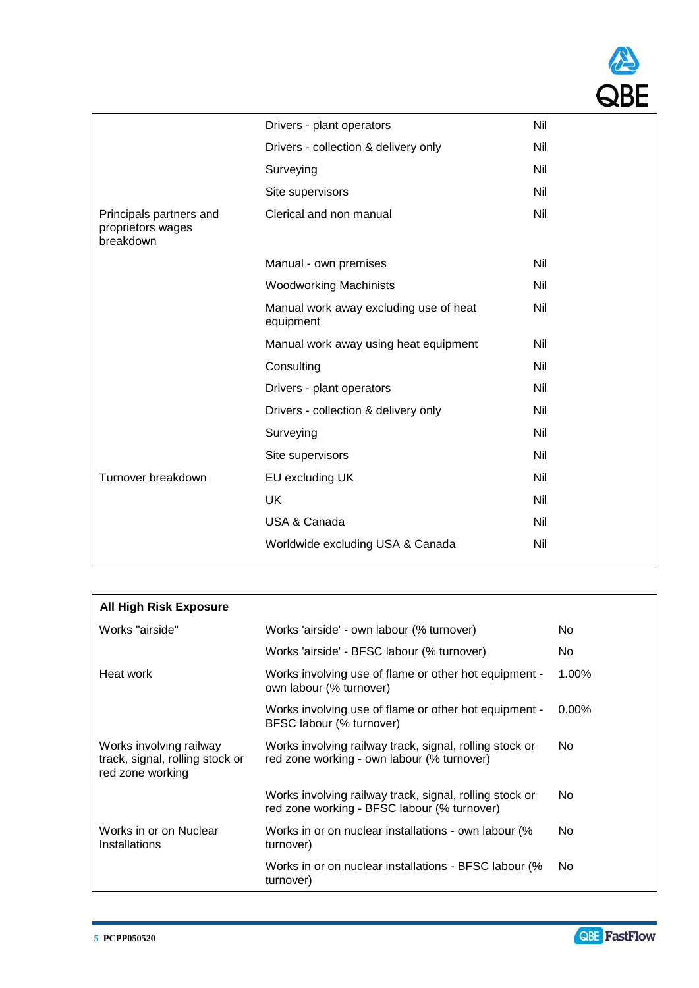

| <b>All High Risk Exposure</b>                                                  |                                                                                                        |          |
|--------------------------------------------------------------------------------|--------------------------------------------------------------------------------------------------------|----------|
| Works "airside"                                                                | Works 'airside' - own labour (% turnover)                                                              | No.      |
|                                                                                | Works 'airside' - BFSC labour (% turnover)                                                             | No.      |
| Heat work                                                                      | Works involving use of flame or other hot equipment -<br>own labour (% turnover)                       | $1.00\%$ |
|                                                                                | Works involving use of flame or other hot equipment -<br>BFSC labour (% turnover)                      | $0.00\%$ |
| Works involving railway<br>track, signal, rolling stock or<br>red zone working | Works involving railway track, signal, rolling stock or<br>red zone working - own labour (% turnover)  | No.      |
|                                                                                | Works involving railway track, signal, rolling stock or<br>red zone working - BFSC labour (% turnover) | No.      |
| Works in or on Nuclear<br>Installations                                        | Works in or on nuclear installations - own labour (%<br>turnover)                                      | No.      |
|                                                                                | Works in or on nuclear installations - BFSC labour (%<br>turnover)                                     | No.      |

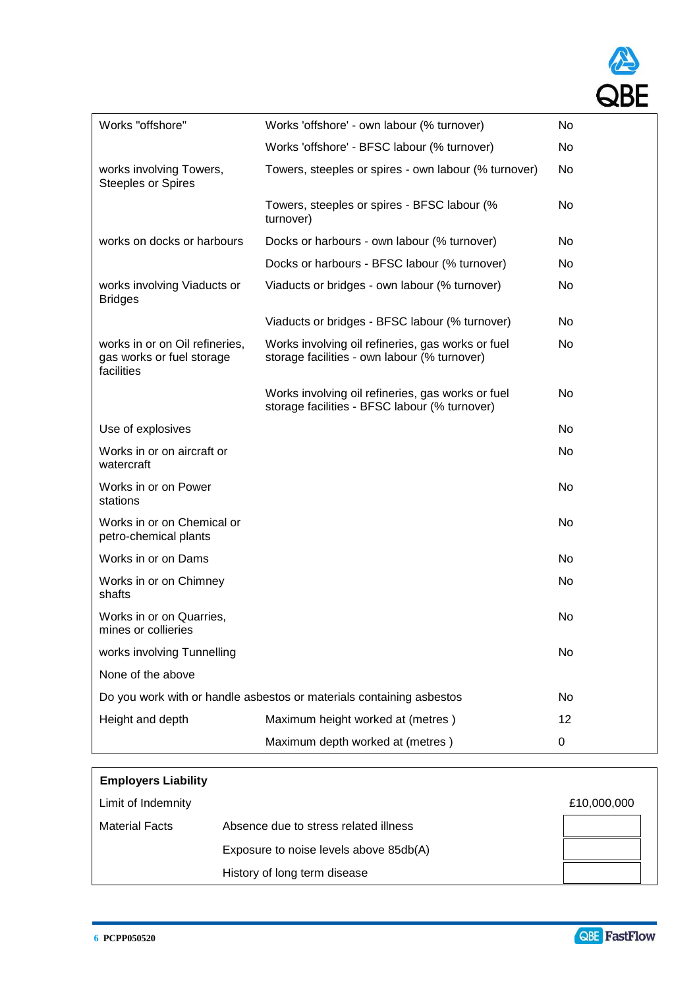

| Works "offshore"                                                          | Works 'offshore' - own labour (% turnover)                                                         | No              |
|---------------------------------------------------------------------------|----------------------------------------------------------------------------------------------------|-----------------|
|                                                                           | Works 'offshore' - BFSC labour (% turnover)                                                        | No              |
| works involving Towers,<br><b>Steeples or Spires</b>                      | Towers, steeples or spires - own labour (% turnover)                                               | No              |
|                                                                           | Towers, steeples or spires - BFSC labour (%<br>turnover)                                           | No.             |
| works on docks or harbours                                                | Docks or harbours - own labour (% turnover)                                                        | No.             |
|                                                                           | Docks or harbours - BFSC labour (% turnover)                                                       | No              |
| works involving Viaducts or<br><b>Bridges</b>                             | Viaducts or bridges - own labour (% turnover)                                                      | No              |
|                                                                           | Viaducts or bridges - BFSC labour (% turnover)                                                     | No.             |
| works in or on Oil refineries,<br>gas works or fuel storage<br>facilities | Works involving oil refineries, gas works or fuel<br>storage facilities - own labour (% turnover)  | No.             |
|                                                                           | Works involving oil refineries, gas works or fuel<br>storage facilities - BFSC labour (% turnover) | No.             |
| Use of explosives                                                         |                                                                                                    | No.             |
| Works in or on aircraft or<br>watercraft                                  |                                                                                                    | No.             |
| Works in or on Power<br>stations                                          |                                                                                                    | No.             |
| Works in or on Chemical or<br>petro-chemical plants                       |                                                                                                    | No              |
| Works in or on Dams                                                       |                                                                                                    | No.             |
| Works in or on Chimney<br>shafts                                          |                                                                                                    | No              |
| Works in or on Quarries,<br>mines or collieries                           |                                                                                                    | No              |
| works involving Tunnelling                                                |                                                                                                    | No              |
| None of the above                                                         |                                                                                                    |                 |
|                                                                           | Do you work with or handle asbestos or materials containing asbestos                               | No              |
| Height and depth                                                          | Maximum height worked at (metres)                                                                  | 12 <sup>2</sup> |
|                                                                           | Maximum depth worked at (metres)                                                                   | 0               |

| <b>Employers Liability</b> |                                        |             |
|----------------------------|----------------------------------------|-------------|
| Limit of Indemnity         |                                        | £10,000,000 |
| <b>Material Facts</b>      | Absence due to stress related illness  |             |
|                            | Exposure to noise levels above 85db(A) |             |
|                            | History of long term disease           |             |

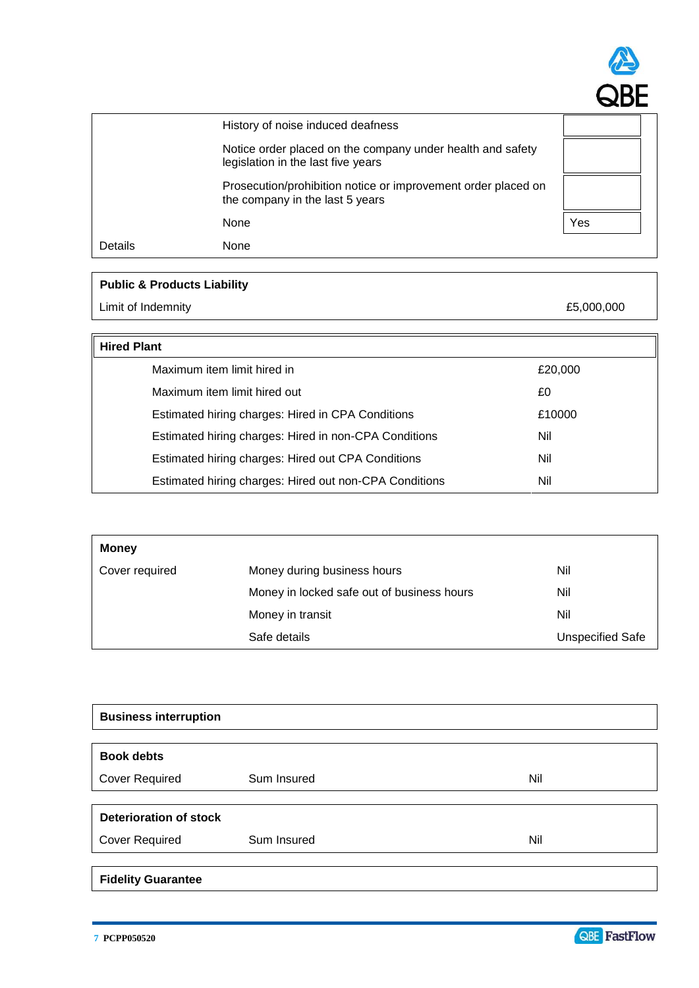

| History of noise induced deafness<br>Notice order placed on the company under health and safety<br>legislation in the last five years |                                                                                                  |     |
|---------------------------------------------------------------------------------------------------------------------------------------|--------------------------------------------------------------------------------------------------|-----|
|                                                                                                                                       |                                                                                                  |     |
|                                                                                                                                       | Prosecution/prohibition notice or improvement order placed on<br>the company in the last 5 years |     |
|                                                                                                                                       | None                                                                                             | Yes |
| Details                                                                                                                               | None                                                                                             |     |

# **Public & Products Liability**

Limit of Indemnity **E5,000,000** 

| <b>Hired Plant</b>                                     |         |  |
|--------------------------------------------------------|---------|--|
| Maximum item limit hired in                            | £20,000 |  |
| Maximum item limit hired out                           | £0      |  |
| Estimated hiring charges: Hired in CPA Conditions      | £10000  |  |
| Estimated hiring charges: Hired in non-CPA Conditions  | Nil     |  |
| Estimated hiring charges: Hired out CPA Conditions     | Nil     |  |
| Estimated hiring charges: Hired out non-CPA Conditions | Nil     |  |

| <b>Money</b>   |                                            |                         |
|----------------|--------------------------------------------|-------------------------|
| Cover required | Money during business hours                | Nil                     |
|                | Money in locked safe out of business hours | Nil                     |
|                | Money in transit                           | Nil                     |
|                | Safe details                               | <b>Unspecified Safe</b> |

| <b>Business interruption</b>  |             |     |
|-------------------------------|-------------|-----|
|                               |             |     |
| <b>Book debts</b>             |             |     |
| <b>Cover Required</b>         | Sum Insured | Nil |
|                               |             |     |
| <b>Deterioration of stock</b> |             |     |
| <b>Cover Required</b>         | Sum Insured | Nil |
|                               |             |     |
| <b>Fidelity Guarantee</b>     |             |     |

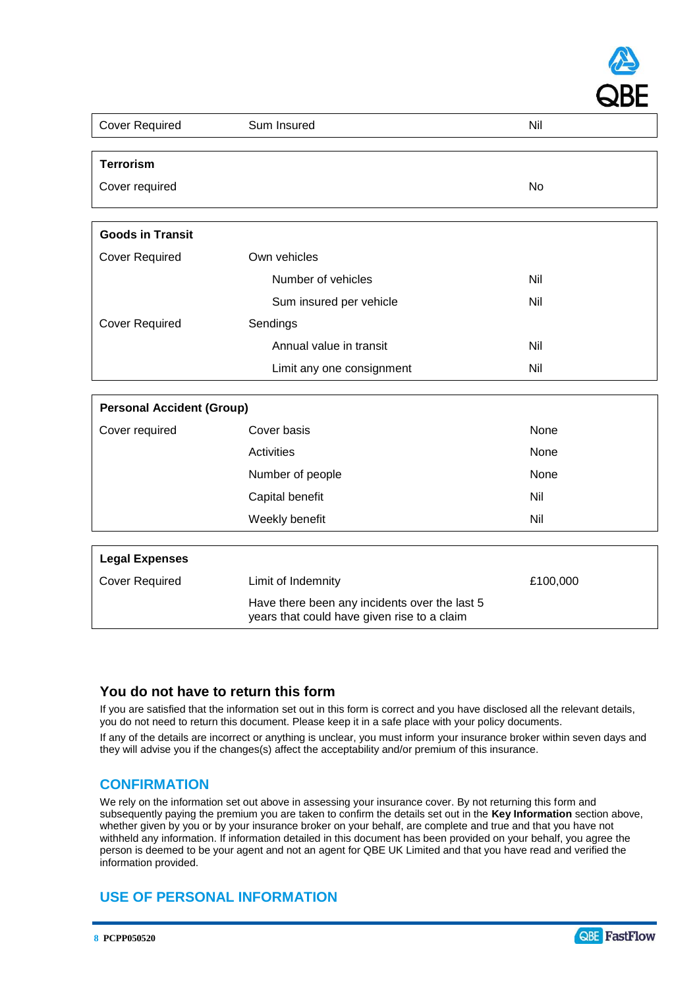

| <b>Cover Required</b>            | Sum Insured               | Nil  |  |
|----------------------------------|---------------------------|------|--|
|                                  |                           |      |  |
| <b>Terrorism</b>                 |                           |      |  |
| Cover required                   |                           | No   |  |
|                                  |                           |      |  |
| <b>Goods in Transit</b>          |                           |      |  |
| <b>Cover Required</b>            | Own vehicles              |      |  |
|                                  | Number of vehicles        | Nil  |  |
|                                  | Sum insured per vehicle   | Nil  |  |
| <b>Cover Required</b>            | Sendings                  |      |  |
|                                  | Annual value in transit   | Nil  |  |
|                                  | Limit any one consignment | Nil  |  |
|                                  |                           |      |  |
| <b>Personal Accident (Group)</b> |                           |      |  |
| Cover required                   | Cover basis               | None |  |
|                                  | Activities                | None |  |

|                       | Number of people   | None     |
|-----------------------|--------------------|----------|
|                       | Capital benefit    | Nil      |
|                       | Weekly benefit     | Nil      |
|                       |                    |          |
| <b>Legal Expenses</b> |                    |          |
| <b>Cover Required</b> | Limit of Indemnity | £100,000 |

Have there been any incidents over the last 5 years that could have given rise to a claim

## **You do not have to return this form**

If you are satisfied that the information set out in this form is correct and you have disclosed all the relevant details, you do not need to return this document. Please keep it in a safe place with your policy documents.

If any of the details are incorrect or anything is unclear, you must inform your insurance broker within seven days and they will advise you if the changes(s) affect the acceptability and/or premium of this insurance.

## **CONFIRMATION**

We rely on the information set out above in assessing your insurance cover. By not returning this form and subsequently paying the premium you are taken to confirm the details set out in the **Key Information** section above, whether given by you or by your insurance broker on your behalf, are complete and true and that you have not withheld any information. If information detailed in this document has been provided on your behalf, you agree the person is deemed to be your agent and not an agent for QBE UK Limited and that you have read and verified the information provided.

## **USE OF PERSONAL INFORMATION**